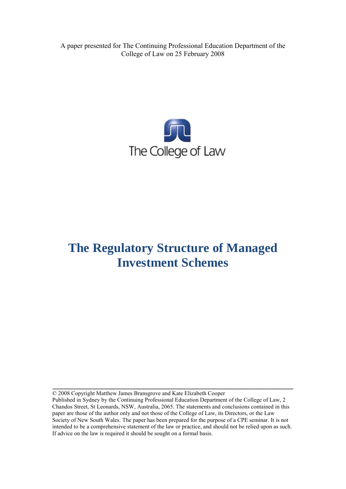A paper presented for The Continuing Professional Education Department of the College of Law on 25 February 2008



# **The Regulatory Structure of Managed Investment Schemes**

© 2008 Copyright Matthew James Bransgrove and Kate Elizabeth Cooper

Published in Sydney by the Continuing Professional Education Department of the College of Law, 2 Chandos Street, St Leonards, NSW, Australia, 2065. The statements and conclusions contained in this paper are those of the author only and not those of the College of Law, its Directors, or the Law Society of New South Wales. The paper has been prepared for the purpose of a CPE seminar. It is not intended to be a comprehensive statement of the law or practice, and should not be relied upon as such. If advice on the law is required it should be sought on a formal basis.

**\_\_\_\_\_\_\_\_\_\_\_\_\_\_\_\_\_\_\_\_\_\_\_\_\_\_\_\_\_\_\_\_\_\_\_\_\_\_\_\_\_\_\_\_\_\_\_\_\_\_\_\_\_\_\_\_\_\_\_\_\_\_\_\_\_\_\_\_\_**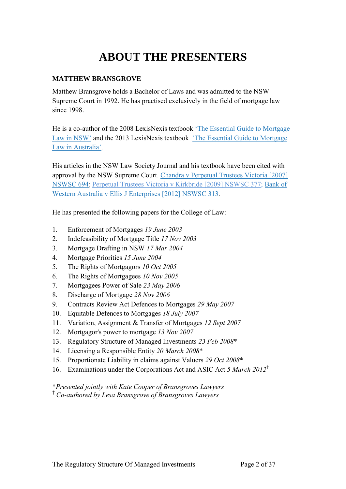# **ABOUT THE PRESENTERS**

# **MATTHEW BRANSGROVE**

Matthew Bransgrove holds a Bachelor of Laws and was admitted to the NSW Supreme Court in 1992. He has practised exclusively in the field of mortgage law since 1998.

He is a co-author of the 2008 LexisNexis textbook ['The Essential Guide to Mortgage](http://www.bransgroves.com.au/documents/PDF/Book/OrderForm3LR.pdf) [Law in](http://www.bransgroves.com.au/documents/PDF/Book/OrderForm3LR.pdf) NSW' and the 2013 LexisNexis textbook ['The Essential Guide to Mortgage](http://www.bransgroves.com.au/documents/PDF/Book/EGMLA2ndEdition.pdf) Law in [Australia'.](http://www.bransgroves.com.au/documents/PDF/Book/EGMLA2ndEdition.pdf)

His articles in the NSW Law Society Journal and his textbook have been cited with approval by the NSW Supreme Court. [Chandra v Perpetual Trustees Victoria \[2007\]](http://www.austlii.edu.au/au/cases/nsw/NSWSC/2007/694.html) [NSWSC 694;](http://www.austlii.edu.au/au/cases/nsw/NSWSC/2007/694.html) [Perpetual Trustees Victoria v Kirkbride \[2009\] NSWSC 377;](http://www.austlii.edu.au/au/cases/nsw/NSWSC/2009/377.html) [Bank](http://www.austlii.edu.au/au/cases/nsw/NSWSC/2012/313.html) of [Western Australia v Ellis J Enterprises](http://www.austlii.edu.au/au/cases/nsw/NSWSC/2012/313.html) [2012] NSWSC 313.

He has presented the following papers for the College of Law:

- 1. Enforcement of Mortgages *19 June 2003*
- 2. Indefeasibility of Mortgage Title *17 Nov 2003*
- 3. Mortgage Drafting in NSW *17 Mar 2004*
- 4. Mortgage Priorities *15 June 2004*
- 5. The Rights of Mortgagors *10 Oct 2005*
- 6. The Rights of Mortgagees *10 Nov 2005*
- 7. Mortgagees Power of Sale *23 May 2006*
- 8. Discharge of Mortgage *28 Nov 2006*
- 9. Contracts Review Act Defences to Mortgages *29 May 2007*
- 10. Equitable Defences to Mortgages *18 July 2007*
- 11. Variation, Assignment & Transfer of Mortgages *12 Sept 2007*
- 12. Mortgagor's power to mortgage *13 Nov 2007*
- 13. Regulatory Structure of Managed Investments *23 Feb 2008*\*
- 14. Licensing a Responsible Entity *20 March 2008*\*
- 15. Proportionate Liability in claims against Valuers *29 Oct 2008*\*
- 16. Examinations under the Corporations Act and ASIC Act *5 March 2012*†

\**Presented jointly with Kate Cooper of Bransgroves Lawyers* † *Co-authored by Lesa Bransgrove of Bransgroves Lawyers*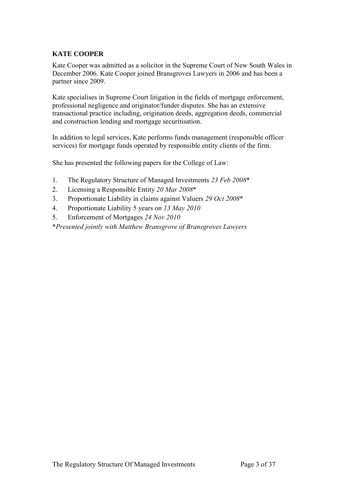# **KATE COOPER**

Kate Cooper was admitted as a solicitor in the Supreme Court of New South Wales in December 2006. Kate Cooper joined Bransgroves Lawyers in 2006 and has been a partner since 2009.

Kate specialises in Supreme Court litigation in the fields of mortgage enforcement, professional negligence and originator/funder disputes. She has an extensive transactional practice including, origination deeds, aggregation deeds, commercial and construction lending and mortgage securitisation.

In addition to legal services, Kate performs funds management (responsible officer services) for mortgage funds operated by responsible entity clients of the firm.

She has presented the following papers for the College of Law:

- 1. The Regulatory Structure of Managed Investments *23 Feb 2008*\*
- 2. Licensing a Responsible Entity *20 Mar 2008*\*
- 3. Proportionate Liability in claims against Valuers *29 Oct 2008*\*
- 4. Proportionate Liability 5 years on *13 May 2010*
- 5. Enforcement of Mortgages *24 Nov 2010*

\**Presented jointly with Matthew Bransgrove of Bransgroves Lawyers*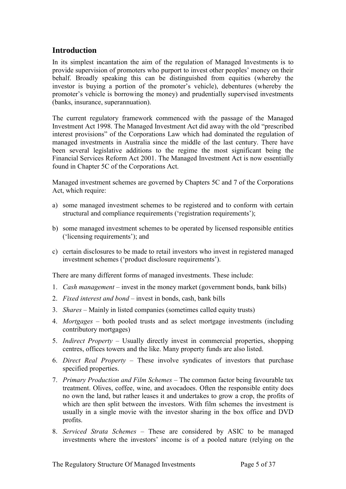# <span id="page-4-0"></span>**Introduction**

In its simplest incantation the aim of the regulation of Managed Investments is to provide supervision of promoters who purport to invest other peoples' money on their behalf. Broadly speaking this can be distinguished from equities (whereby the investor is buying a portion of the promoter's vehicle), debentures (whereby the promoter's vehicle is borrowing the money) and prudentially supervised investments (banks, insurance, superannuation).

The current regulatory framework commenced with the passage of the Managed Investment Act 1998. The Managed Investment Act did away with the old "prescribed interest provisions" of the Corporations Law which had dominated the regulation of managed investments in Australia since the middle of the last century. There have been several legislative additions to the regime the most significant being the Financial Services Reform Act 2001. The Managed Investment Act is now essentially found in Chapter 5C of the Corporations Act.

Managed investment schemes are governed by Chapters 5C and 7 of the Corporations Act, which require:

- a) some managed investment schemes to be registered and to conform with certain structural and compliance requirements ('registration requirements');
- b) some managed investment schemes to be operated by licensed responsible entities ('licensing requirements'); and
- c) certain disclosures to be made to retail investors who invest in registered managed investment schemes ('product disclosure requirements').

There are many different forms of managed investments. These include:

- 1. *Cash management* invest in the money market (government bonds, bank bills)
- 2. *Fixed interest and bond* invest in bonds, cash, bank bills
- 3. *Shares* Mainly in listed companies (sometimes called equity trusts)
- 4. *Mortgages* both pooled trusts and as select mortgage investments (including contributory mortgages)
- 5. *Indirect Property* Usually directly invest in commercial properties, shopping centres, offices towers and the like. Many property funds are also listed.
- 6. *Direct Real Property* These involve syndicates of investors that purchase specified properties.
- 7. *Primary Production and Film Schemes* The common factor being favourable tax treatment. Olives, coffee, wine, and avocadoes. Often the responsible entity does no own the land, but rather leases it and undertakes to grow a crop, the profits of which are then split between the investors. With film schemes the investment is usually in a single movie with the investor sharing in the box office and DVD profits.
- 8. *Serviced Strata Schemes* These are considered by ASIC to be managed investments where the investors' income is of a pooled nature (relying on the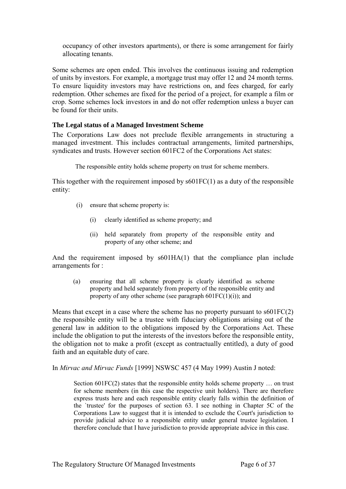occupancy of other investors apartments), or there is some arrangement for fairly allocating tenants.

Some schemes are open ended. This involves the continuous issuing and redemption of units by investors. For example, a mortgage trust may offer 12 and 24 month terms. To ensure liquidity investors may have restrictions on, and fees charged, for early redemption. Other schemes are fixed for the period of a project, for example a film or crop. Some schemes lock investors in and do not offer redemption unless a buyer can be found for their units.

## <span id="page-5-0"></span>**The Legal status of a Managed Investment Scheme**

The Corporations Law does not preclude flexible arrangements in structuring a managed investment. This includes contractual arrangements, limited partnerships, syndicates and trusts. However section 601FC2 of the Corporations Act states:

The responsible entity holds scheme property on trust for scheme members.

This together with the requirement imposed by s601FC(1) as a duty of the responsible entity:

- (i) ensure that scheme property is:
	- (i) clearly identified as scheme property; and
	- (ii) held separately from property of the responsible entity and property of any other scheme; and

And the requirement imposed by s601HA(1) that the compliance plan include arrangements for :

(a) ensuring that all scheme property is clearly identified as scheme property and held separately from property of the responsible entity and property of any other scheme (see paragraph  $601FC(1)(i)$ ); and

Means that except in a case where the scheme has no property pursuant to s601FC(2) the responsible entity will be a trustee with fiduciary obligations arising out of the general law in addition to the obligations imposed by the Corporations Act. These include the obligation to put the interests of the investors before the responsible entity, the obligation not to make a profit (except as contractually entitled), a duty of good faith and an equitable duty of care.

In *Mirvac and Mirvac Funds* [1999] NSWSC 457 (4 May 1999) Austin J noted:

Section 601FC(2) states that the responsible entity holds scheme property … on trust for scheme members (in this case the respective unit holders). There are therefore express trusts here and each responsible entity clearly falls within the definition of the `trustee' for the purposes of section 63. I see nothing in Chapter 5C of the Corporations Law to suggest that it is intended to exclude the Court's jurisdiction to provide judicial advice to a responsible entity under general trustee legislation. I therefore conclude that I have jurisdiction to provide appropriate advice in this case.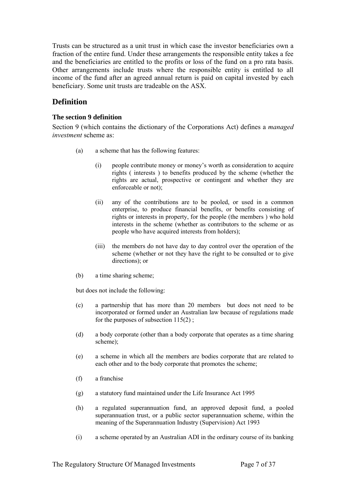Trusts can be structured as a unit trust in which case the investor beneficiaries own a fraction of the entire fund. Under these arrangements the responsible entity takes a fee and the beneficiaries are entitled to the profits or loss of the fund on a pro rata basis. Other arrangements include trusts where the responsible entity is entitled to all income of the fund after an agreed annual return is paid on capital invested by each beneficiary. Some unit trusts are tradeable on the ASX.

# <span id="page-6-0"></span>**Definition**

#### <span id="page-6-1"></span>**The section 9 definition**

Section 9 (which contains the dictionary of the Corporations Act) defines a *managed investment* scheme as:

- (a) a scheme that has the following features:
	- (i) people contribute money or money's worth as consideration to acquire rights ( interests ) to benefits produced by the scheme (whether the rights are actual, prospective or contingent and whether they are enforceable or not);
	- (ii) any of the contributions are to be pooled, or used in a common enterprise, to produce financial benefits, or benefits consisting of rights or interests in property, for the people (the members ) who hold interests in the scheme (whether as contributors to the scheme or as people who have acquired interests from holders);
	- (iii) the members do not have day to day control over the operation of the scheme (whether or not they have the right to be consulted or to give directions); or
- (b) a time sharing scheme;

but does not include the following:

- (c) a partnership that has more than 20 members but does not need to be incorporated or formed under an Australian law because of regulations made for the purposes of subsection  $115(2)$ ;
- (d) a body corporate (other than a body corporate that operates as a time sharing scheme);
- (e) a scheme in which all the members are bodies corporate that are related to each other and to the body corporate that promotes the scheme;
- (f) a franchise
- (g) a statutory fund maintained under the Life Insurance Act 1995
- (h) a regulated superannuation fund, an approved deposit fund, a pooled superannuation trust, or a public sector superannuation scheme, within the meaning of the Superannuation Industry (Supervision) Act 1993
- (i) a scheme operated by an Australian ADI in the ordinary course of its banking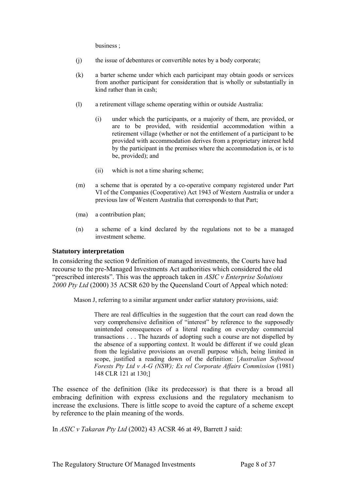business ;

- (j) the issue of debentures or convertible notes by a body corporate;
- (k) a barter scheme under which each participant may obtain goods or services from another participant for consideration that is wholly or substantially in kind rather than in cash;
- (l) a retirement village scheme operating within or outside Australia:
	- (i) under which the participants, or a majority of them, are provided, or are to be provided, with residential accommodation within a retirement village (whether or not the entitlement of a participant to be provided with accommodation derives from a proprietary interest held by the participant in the premises where the accommodation is, or is to be, provided); and
	- (ii) which is not a time sharing scheme;
- (m) a scheme that is operated by a co-operative company registered under Part VI of the Companies (Cooperative) Act 1943 of Western Australia or under a previous law of Western Australia that corresponds to that Part;
- (ma) a contribution plan;
- (n) a scheme of a kind declared by the regulations not to be a managed investment scheme.

#### <span id="page-7-0"></span>**Statutory interpretation**

In considering the section 9 definition of managed investments, the Courts have had recourse to the pre-Managed Investments Act authorities which considered the old "prescribed interests". This was the approach taken in *ASIC v Enterprise Solutions 2000 Pty Ltd* (2000) 35 ACSR 620 by the Queensland Court of Appeal which noted:

Mason J, referring to a similar argument under earlier statutory provisions, said:

There are real difficulties in the suggestion that the court can read down the very comprehensive definition of "interest" by reference to the supposedly unintended consequences of a literal reading on everyday commercial transactions . . . The hazards of adopting such a course are not dispelled by the absence of a supporting context. It would be different if we could glean from the legislative provisions an overall purpose which, being limited in scope, justified a reading down of the definition: [*Australian Softwood Forests Pty Ltd v A-G (NSW); Ex rel Corporate Affairs Commission* (1981) 148 CLR 121 at 130;]

The essence of the definition (like its predecessor) is that there is a broad all embracing definition with express exclusions and the regulatory mechanism to increase the exclusions. There is little scope to avoid the capture of a scheme except by reference to the plain meaning of the words.

In *ASIC v Takaran Pty Ltd* (2002) 43 ACSR 46 at 49, Barrett J said: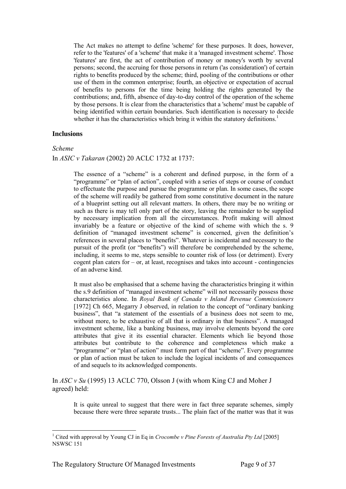The Act makes no attempt to define 'scheme' for these purposes. It does, however, refer to the 'features' of a 'scheme' that make it a 'managed investment scheme'. Those 'features' are first, the act of contribution of money or money's worth by several persons; second, the accruing for those persons in return ('as consideration') of certain rights to benefits produced by the scheme; third, pooling of the contributions or other use of them in the common enterprise; fourth, an objective or expectation of accrual of benefits to persons for the time being holding the rights generated by the contributions; and, fifth, absence of day-to-day control of the operation of the scheme by those persons. It is clear from the characteristics that a 'scheme' must be capable of being identified within certain boundaries. Such identification is necessary to decide whether it has the characteristics which bring it within the statutory definitions.<sup>1</sup>

#### <span id="page-8-0"></span>**Inclusions**

#### *Scheme*

#### In *ASIC v Takaran* (2002) 20 ACLC 1732 at 1737:

The essence of a "scheme" is a coherent and defined purpose, in the form of a "programme" or "plan of action", coupled with a series of steps or course of conduct to effectuate the purpose and pursue the programme or plan. In some cases, the scope of the scheme will readily be gathered from some constitutive document in the nature of a blueprint setting out all relevant matters. In others, there may be no writing or such as there is may tell only part of the story, leaving the remainder to be supplied by necessary implication from all the circumstances. Profit making will almost invariably be a feature or objective of the kind of scheme with which the s. 9 definition of "managed investment scheme" is concerned, given the definition's references in several places to "benefits". Whatever is incidental and necessary to the pursuit of the profit (or "benefits") will therefore be comprehended by the scheme, including, it seems to me, steps sensible to counter risk of loss (or detriment). Every cogent plan caters for  $-$  or, at least, recognises and takes into account  $-$  contingencies of an adverse kind.

It must also be emphasised that a scheme having the characteristics bringing it within the s.9 definition of "managed investment scheme" will not necessarily possess those characteristics alone. In *Royal Bank of Canada v Inland Revenue Commissioners*  [1972] Ch 665, Megarry J observed, in relation to the concept of "ordinary banking" business", that "a statement of the essentials of a business does not seem to me, without more, to be exhaustive of all that is ordinary in that business". A managed investment scheme, like a banking business, may involve elements beyond the core attributes that give it its essential character. Elements which lie beyond those attributes but contribute to the coherence and completeness which make a "programme" or "plan of action" must form part of that "scheme". Every programme or plan of action must be taken to include the logical incidents of and consequences of and sequels to its acknowledged components.

In *ASC v Su* (1995) 13 ACLC 770, Olsson J (with whom King CJ and Moher J agreed) held:

It is quite unreal to suggest that there were in fact three separate schemes, simply because there were three separate trusts... The plain fact of the matter was that it was

<sup>-</sup><sup>1</sup> Cited with approval by Young CJ in Eq in *Crocombe v Pine Forests of Australia Pty Ltd* [2005] NSWSC 151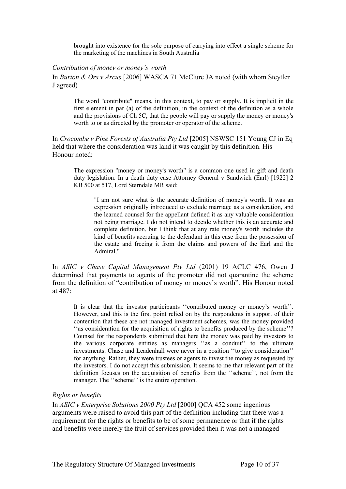brought into existence for the sole purpose of carrying into effect a single scheme for the marketing of the machines in South Australia

#### *Contribution of money or money's worth*

In *Burton & Ors v Arcus* [2006] WASCA 71 McClure JA noted (with whom Steytler J agreed)

The word "contribute" means, in this context, to pay or supply. It is implicit in the first element in par (a) of the definition, in the context of the definition as a whole and the provisions of Ch 5C, that the people will pay or supply the money or money's worth to or as directed by the promoter or operator of the scheme.

In *Crocombe v Pine Forests of Australia Pty Ltd* [2005] NSWSC 151 Young CJ in Eq held that where the consideration was land it was caught by this definition. His Honour noted:

The expression "money or money's worth" is a common one used in gift and death duty legislation. In a death duty case Attorney General v Sandwich (Earl) [1922] 2 KB 500 at 517, Lord Sterndale MR said:

"I am not sure what is the accurate definition of money's worth. It was an expression originally introduced to exclude marriage as a consideration, and the learned counsel for the appellant defined it as any valuable consideration not being marriage. I do not intend to decide whether this is an accurate and complete definition, but I think that at any rate money's worth includes the kind of benefits accruing to the defendant in this case from the possession of the estate and freeing it from the claims and powers of the Earl and the Admiral."

In *ASIC v Chase Capital Management Pty Ltd* (2001) 19 ACLC 476, Owen J determined that payments to agents of the promoter did not quarantine the scheme from the definition of "contribution of money or money's worth". His Honour noted at 487:

It is clear that the investor participants ''contributed money or money's worth''. However, and this is the first point relied on by the respondents in support of their contention that these are not managed investment schemes, was the money provided ''as consideration for the acquisition of rights to benefits produced by the scheme''? Counsel for the respondents submitted that here the money was paid by investors to the various corporate entities as managers ''as a conduit'' to the ultimate investments. Chase and Leadenhall were never in a position ''to give consideration'' for anything. Rather, they were trustees or agents to invest the money as requested by the investors. I do not accept this submission. It seems to me that relevant part of the definition focuses on the acquisition of benefits from the ''scheme'', not from the manager. The "scheme" is the entire operation.

#### *Rights or benefits*

In *ASIC v Enterprise Solutions 2000 Pty Ltd* [2000] QCA 452 some ingenious arguments were raised to avoid this part of the definition including that there was a requirement for the rights or benefits to be of some permanence or that if the rights and benefits were merely the fruit of services provided then it was not a managed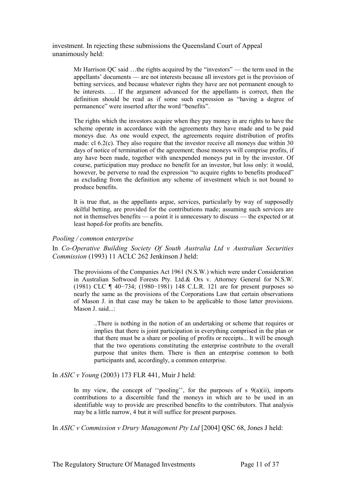investment. In rejecting these submissions the Queensland Court of Appeal unanimously held:

> Mr Harrison QC said …the rights acquired by the "investors" — the term used in the appellants' documents — are not interests because all investors get is the provision of betting services, and because whatever rights they have are not permanent enough to be interests. … If the argument advanced for the appellants is correct, then the definition should be read as if some such expression as "having a degree of permanence" were inserted after the word "benefits".

> The rights which the investors acquire when they pay money in are rights to have the scheme operate in accordance with the agreements they have made and to be paid moneys due. As one would expect, the agreements require distribution of profits made: cl 6.2(c). They also require that the investor receive all moneys due within 30 days of notice of termination of the agreement; those moneys will comprise profits, if any have been made, together with unexpended moneys put in by the investor. Of course, participation may produce no benefit for an investor, but loss only: it would, however, be perverse to read the expression "to acquire rights to benefits produced" as excluding from the definition any scheme of investment which is not bound to produce benefits.

> It is true that, as the appellants argue, services, particularly by way of supposedly skilful betting, are provided for the contributions made; assuming such services are not in themselves benefits — a point it is unnecessary to discuss — the expected or at least hoped-for profits are benefits.

#### *Pooling / common enterprise*

In *Co-Operative Building Society Of South Australia Ltd v Australian Securities Commission* (1993) 11 ACLC 262 Jenkinson J held:

The provisions of the Companies Act 1961 (N.S.W.) which were under Consideration in Australian Softwood Forests Pty. Ltd.& Ors v. Attorney General for N.S.W. (1981) CLC ¶ 40−734; (1980−1981) 148 C.L.R. 121 are for present purposes so nearly the same as the provisions of the Corporations Law that certain observations of Mason J. in that case may be taken to be applicable to those latter provisions. Mason J. said...:

..There is nothing in the notion of an undertaking or scheme that requires or implies that there is joint participation in everything comprised in the plan or that there must be a share or pooling of profits or receipts... It will be enough that the two operations constituting the enterprise contribute to the overall purpose that unites them. There is then an enterprise common to both participants and, accordingly, a common enterprise.

In *ASIC v Young* (2003) 173 FLR 441, Muir J held:

In my view, the concept of "pooling", for the purposes of s  $9(a)(ii)$ , imports contributions to a discernible fund the moneys in which are to be used in an identifiable way to provide are prescribed benefits to the contributors. That analysis may be a little narrow, 4 but it will suffice for present purposes.

In *ASIC v Commission v Drury Management Pty Ltd* [2004] QSC 68, Jones J held: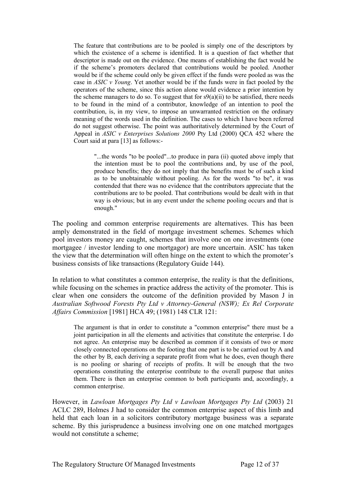The feature that contributions are to be pooled is simply one of the descriptors by which the existence of a scheme is identified. It is a question of fact whether that descriptor is made out on the evidence. One means of establishing the fact would be if the scheme's promoters declared that contributions would be pooled. Another would be if the scheme could only be given effect if the funds were pooled as was the case in *ASIC v Young*. Yet another would be if the funds were in fact pooled by the operators of the scheme, since this action alone would evidence a prior intention by the scheme managers to do so. To suggest that for  $s9(a)(ii)$  to be satisfied, there needs to be found in the mind of a contributor, knowledge of an intention to pool the contribution, is, in my view, to impose an unwarranted restriction on the ordinary meaning of the words used in the definition. The cases to which I have been referred do not suggest otherwise. The point was authoritatively determined by the Court of Appeal in *ASIC v Enterprises Solutions 2000* Pty Ltd (2000) QCA 452 where the Court said at para [13] as follows:-

"...the words "to be pooled"...to produce in para (ii) quoted above imply that the intention must be to pool the contributions and, by use of the pool, produce benefits; they do not imply that the benefits must be of such a kind as to be unobtainable without pooling. As for the words "to be", it was contended that there was no evidence that the contributors appreciate that the contributions are to be pooled. That contributions would be dealt with in that way is obvious; but in any event under the scheme pooling occurs and that is enough."

The pooling and common enterprise requirements are alternatives. This has been amply demonstrated in the field of mortgage investment schemes. Schemes which pool investors money are caught, schemes that involve one on one investments (one mortgagee / investor lending to one mortgagor) are more uncertain. ASIC has taken the view that the determination will often hinge on the extent to which the promoter's business consists of like transactions (Regulatory Guide 144).

In relation to what constitutes a common enterprise, the reality is that the definitions, while focusing on the schemes in practice address the activity of the promoter. This is clear when one considers the outcome of the definition provided by Mason J in *Australian Softwood Forests Pty Ltd v Attorney-General (NSW); Ex Rel Corporate Affairs Commission* [1981] HCA 49; (1981) 148 CLR 121:

The argument is that in order to constitute a "common enterprise" there must be a joint participation in all the elements and activities that constitute the enterprise. I do not agree. An enterprise may be described as common if it consists of two or more closely connected operations on the footing that one part is to be carried out by A and the other by B, each deriving a separate profit from what he does, even though there is no pooling or sharing of receipts of profits. It will be enough that the two operations constituting the enterprise contribute to the overall purpose that unites them. There is then an enterprise common to both participants and, accordingly, a common enterprise.

However, in *Lawloan Mortgages Pty Ltd v Lawloan Mortgages Pty Ltd* (2003) 21 ACLC 289, Holmes J had to consider the common enterprise aspect of this limb and held that each loan in a solicitors contributory mortgage business was a separate scheme. By this jurisprudence a business involving one on one matched mortgages would not constitute a scheme;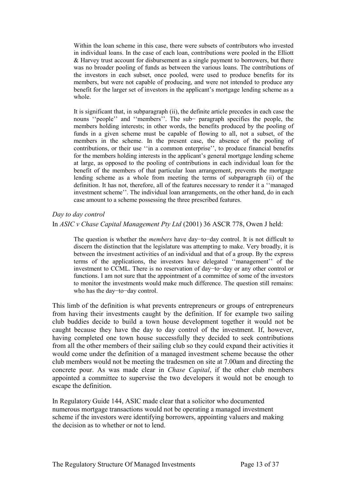Within the loan scheme in this case, there were subsets of contributors who invested in individual loans. In the case of each loan, contributions were pooled in the Elliott & Harvey trust account for disbursement as a single payment to borrowers, but there was no broader pooling of funds as between the various loans. The contributions of the investors in each subset, once pooled, were used to produce benefits for its members, but were not capable of producing, and were not intended to produce any benefit for the larger set of investors in the applicant's mortgage lending scheme as a whole.

It is significant that, in subparagraph (ii), the definite article precedes in each case the nouns ''people'' and ''members''. The sub− paragraph specifies the people, the members holding interests; in other words, the benefits produced by the pooling of funds in a given scheme must be capable of flowing to all, not a subset, of the members in the scheme. In the present case, the absence of the pooling of contributions, or their use ''in a common enterprise'', to produce financial benefits for the members holding interests in the applicant's general mortgage lending scheme at large, as opposed to the pooling of contributions in each individual loan for the benefit of the members of that particular loan arrangement, prevents the mortgage lending scheme as a whole from meeting the terms of subparagraph (ii) of the definition. It has not, therefore, all of the features necessary to render it a ''managed investment scheme''. The individual loan arrangements, on the other hand, do in each case amount to a scheme possessing the three prescribed features.

# *Day to day control*  In *ASIC v Chase Capital Management Pty Ltd* (2001) 36 ASCR 778, Owen J held:

The question is whether the *members* have day−to−day control. It is not difficult to discern the distinction that the legislature was attempting to make. Very broadly, it is between the investment activities of an individual and that of a group. By the express terms of the applications, the investors have delegated ''management'' of the investment to CCML. There is no reservation of day−to−day or any other control or functions. I am not sure that the appointment of a committee of some of the investors to monitor the investments would make much difference. The question still remains: who has the day−to−day control.

This limb of the definition is what prevents entrepreneurs or groups of entrepreneurs from having their investments caught by the definition. If for example two sailing club buddies decide to build a town house development together it would not be caught because they have the day to day control of the investment. If, however, having completed one town house successfully they decided to seek contributions from all the other members of their sailing club so they could expand their activities it would come under the definition of a managed investment scheme because the other club members would not be meeting the tradesmen on site at 7.00am and directing the concrete pour. As was made clear in *Chase Capital*, if the other club members appointed a committee to supervise the two developers it would not be enough to escape the definition.

In Regulatory Guide 144, ASIC made clear that a solicitor who documented numerous mortgage transactions would not be operating a managed investment scheme if the investors were identifying borrowers, appointing valuers and making the decision as to whether or not to lend.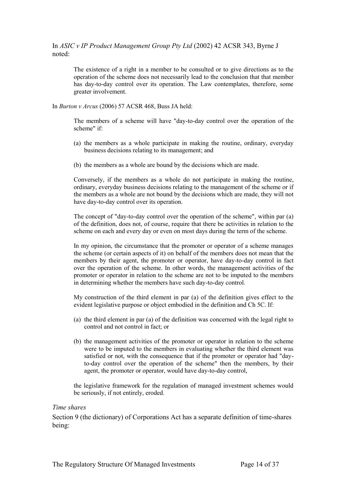In *ASIC v IP Product Management Group Pty Ltd* (2002) 42 ACSR 343, Byrne J noted:

The existence of a right in a member to be consulted or to give directions as to the operation of the scheme does not necessarily lead to the conclusion that that member has day-to-day control over its operation. The Law contemplates, therefore, some greater involvement.

In *Burton v Arcus* (2006) 57 ACSR 468, Buss JA held:

The members of a scheme will have "day-to-day control over the operation of the scheme" if:

- (a) the members as a whole participate in making the routine, ordinary, everyday business decisions relating to its management; and
- (b) the members as a whole are bound by the decisions which are made.

Conversely, if the members as a whole do not participate in making the routine, ordinary, everyday business decisions relating to the management of the scheme or if the members as a whole are not bound by the decisions which are made, they will not have day-to-day control over its operation.

The concept of "day-to-day control over the operation of the scheme", within par (a) of the definition, does not, of course, require that there be activities in relation to the scheme on each and every day or even on most days during the term of the scheme.

In my opinion, the circumstance that the promoter or operator of a scheme manages the scheme (or certain aspects of it) on behalf of the members does not mean that the members by their agent, the promoter or operator, have day-to-day control in fact over the operation of the scheme. In other words, the management activities of the promoter or operator in relation to the scheme are not to be imputed to the members in determining whether the members have such day-to-day control.

My construction of the third element in par (a) of the definition gives effect to the evident legislative purpose or object embodied in the definition and Ch 5C. If:

- (a) the third element in par (a) of the definition was concerned with the legal right to control and not control in fact; or
- (b) the management activities of the promoter or operator in relation to the scheme were to be imputed to the members in evaluating whether the third element was satisfied or not, with the consequence that if the promoter or operator had "dayto-day control over the operation of the scheme" then the members, by their agent, the promoter or operator, would have day-to-day control,

the legislative framework for the regulation of managed investment schemes would be seriously, if not entirely, eroded.

#### *Time shares*

Section 9 (the dictionary) of Corporations Act has a separate definition of time-shares being: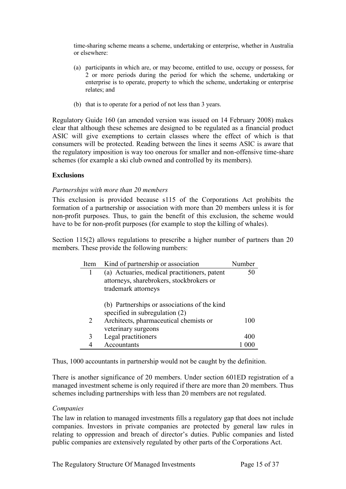time-sharing scheme means a scheme, undertaking or enterprise, whether in Australia or elsewhere:

- (a) participants in which are, or may become, entitled to use, occupy or possess, for 2 or more periods during the period for which the scheme, undertaking or enterprise is to operate, property to which the scheme, undertaking or enterprise relates; and
- (b) that is to operate for a period of not less than 3 years.

Regulatory Guide 160 (an amended version was issued on 14 February 2008) makes clear that although these schemes are designed to be regulated as a financial product ASIC will give exemptions to certain classes where the effect of which is that consumers will be protected. Reading between the lines it seems ASIC is aware that the regulatory imposition is way too onerous for smaller and non-offensive time-share schemes (for example a ski club owned and controlled by its members).

#### <span id="page-14-0"></span>**Exclusions**

#### *Partnerships with more than 20 members*

This exclusion is provided because s115 of the Corporations Act prohibits the formation of a partnership or association with more than 20 members unless it is for non-profit purposes. Thus, to gain the benefit of this exclusion, the scheme would have to be for non-profit purposes (for example to stop the killing of whales).

Section 115(2) allows regulations to prescribe a higher number of partners than 20 members. These provide the following numbers:

| Item | Kind of partnership or association                                             | Number |
|------|--------------------------------------------------------------------------------|--------|
|      | (a) Actuaries, medical practitioners, patent                                   | 50     |
|      | attorneys, sharebrokers, stockbrokers or                                       |        |
|      | trademark attorneys                                                            |        |
|      | (b) Partnerships or associations of the kind<br>specified in subregulation (2) |        |
| 2    | Architects, pharmaceutical chemists or                                         | 100    |
|      | veterinary surgeons                                                            |        |
| 3    | Legal practitioners                                                            | 400    |
|      | Accountants                                                                    |        |

Thus, 1000 accountants in partnership would not be caught by the definition.

There is another significance of 20 members. Under section 601ED registration of a managed investment scheme is only required if there are more than 20 members. Thus schemes including partnerships with less than 20 members are not regulated.

#### *Companies*

The law in relation to managed investments fills a regulatory gap that does not include companies. Investors in private companies are protected by general law rules in relating to oppression and breach of director's duties. Public companies and listed public companies are extensively regulated by other parts of the Corporations Act.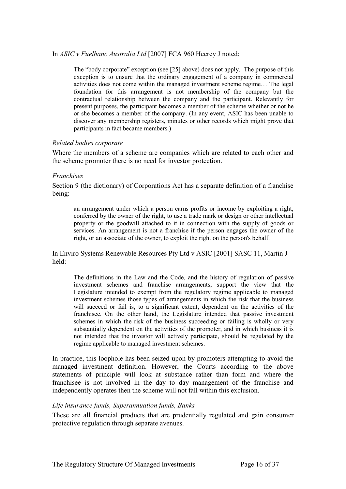#### In *ASIC v Fuelbanc Australia Ltd* [2007] FCA 960 Heerey J noted:

The "body corporate" exception (see [25] above) does not apply. The purpose of this exception is to ensure that the ordinary engagement of a company in commercial activities does not come within the managed investment scheme regime… The legal foundation for this arrangement is not membership of the company but the contractual relationship between the company and the participant. Relevantly for present purposes, the participant becomes a member of the scheme whether or not he or she becomes a member of the company. (In any event, ASIC has been unable to discover any membership registers, minutes or other records which might prove that participants in fact became members.)

#### *Related bodies corporate*

Where the members of a scheme are companies which are related to each other and the scheme promoter there is no need for investor protection.

#### *Franchises*

Section 9 (the dictionary) of Corporations Act has a separate definition of a franchise being:

an arrangement under which a person earns profits or income by exploiting a right, conferred by the owner of the right, to use a trade mark or design or other intellectual property or the goodwill attached to it in connection with the supply of goods or services. An arrangement is not a franchise if the person engages the owner of the right, or an associate of the owner, to exploit the right on the person's behalf.

In Enviro Systems Renewable Resources Pty Ltd v ASIC [2001] SASC 11, Martin J held:

The definitions in the Law and the Code, and the history of regulation of passive investment schemes and franchise arrangements, support the view that the Legislature intended to exempt from the regulatory regime applicable to managed investment schemes those types of arrangements in which the risk that the business will succeed or fail is, to a significant extent, dependent on the activities of the franchisee. On the other hand, the Legislature intended that passive investment schemes in which the risk of the business succeeding or failing is wholly or very substantially dependent on the activities of the promoter, and in which business it is not intended that the investor will actively participate, should be regulated by the regime applicable to managed investment schemes.

In practice, this loophole has been seized upon by promoters attempting to avoid the managed investment definition. However, the Courts according to the above statements of principle will look at substance rather than form and where the franchisee is not involved in the day to day management of the franchise and independently operates then the scheme will not fall within this exclusion.

#### *Life insurance funds, Superannuation funds, Banks*

These are all financial products that are prudentially regulated and gain consumer protective regulation through separate avenues.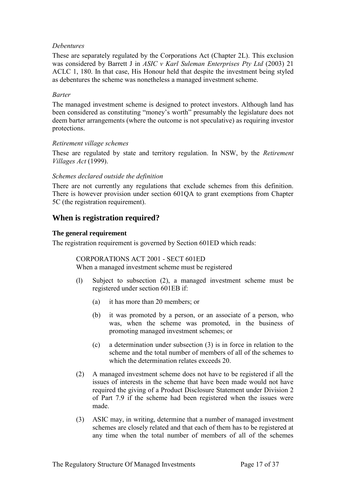### *Debentures*

These are separately regulated by the Corporations Act (Chapter 2L). This exclusion was considered by Barrett J in *ASIC v Karl Suleman Enterprises Pty Ltd* (2003) 21 ACLC 1, 180. In that case, His Honour held that despite the investment being styled as debentures the scheme was nonetheless a managed investment scheme.

#### *Barter*

The managed investment scheme is designed to protect investors. Although land has been considered as constituting "money's worth" presumably the legislature does not deem barter arrangements (where the outcome is not speculative) as requiring investor protections.

#### *Retirement village schemes*

These are regulated by state and territory regulation. In NSW, by the *Retirement Villages Act* (1999).

#### *Schemes declared outside the definition*

There are not currently any regulations that exclude schemes from this definition. There is however provision under section 601QA to grant exemptions from Chapter 5C (the registration requirement).

# <span id="page-16-0"></span>**When is registration required?**

#### <span id="page-16-1"></span>**The general requirement**

The registration requirement is governed by Section 601ED which reads:

# CORPORATIONS ACT 2001 - SECT 601ED

When a managed investment scheme must be registered

- (l) Subject to subsection (2), a managed investment scheme must be registered under section 601EB if:
	- (a) it has more than 20 members; or
	- (b) it was promoted by a person, or an associate of a person, who was, when the scheme was promoted, in the business of promoting managed investment schemes; or
	- (c) a determination under subsection (3) is in force in relation to the scheme and the total number of members of all of the schemes to which the determination relates exceeds 20.
- (2) A managed investment scheme does not have to be registered if all the issues of interests in the scheme that have been made would not have required the giving of a Product Disclosure Statement under Division 2 of Part 7.9 if the scheme had been registered when the issues were made.
- (3) ASIC may, in writing, determine that a number of managed investment schemes are closely related and that each of them has to be registered at any time when the total number of members of all of the schemes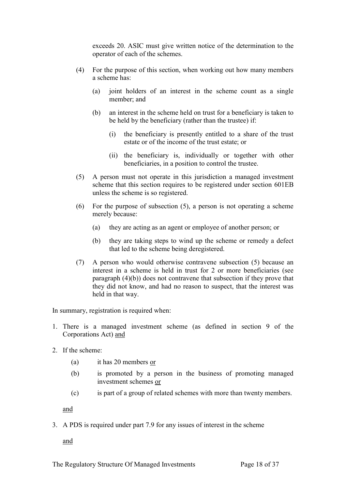exceeds 20. ASIC must give written notice of the determination to the operator of each of the schemes.

- (4) For the purpose of this section, when working out how many members a scheme has:
	- (a) joint holders of an interest in the scheme count as a single member; and
	- (b) an interest in the scheme held on trust for a beneficiary is taken to be held by the beneficiary (rather than the trustee) if:
		- (i) the beneficiary is presently entitled to a share of the trust estate or of the income of the trust estate; or
		- (ii) the beneficiary is, individually or together with other beneficiaries, in a position to control the trustee.
- (5) A person must not operate in this jurisdiction a managed investment scheme that this section requires to be registered under section 601EB unless the scheme is so registered.
- (6) For the purpose of subsection (5), a person is not operating a scheme merely because:
	- (a) they are acting as an agent or employee of another person; or
	- (b) they are taking steps to wind up the scheme or remedy a defect that led to the scheme being deregistered.
- (7) A person who would otherwise contravene subsection (5) because an interest in a scheme is held in trust for 2 or more beneficiaries (see paragraph (4)(b)) does not contravene that subsection if they prove that they did not know, and had no reason to suspect, that the interest was held in that way.

In summary, registration is required when:

- 1. There is a managed investment scheme (as defined in section 9 of the Corporations Act) and
- 2. If the scheme:
	- (a) it has 20 members or
	- (b) is promoted by a person in the business of promoting managed investment schemes or
	- (c) is part of a group of related schemes with more than twenty members.

and

3. A PDS is required under part 7.9 for any issues of interest in the scheme

and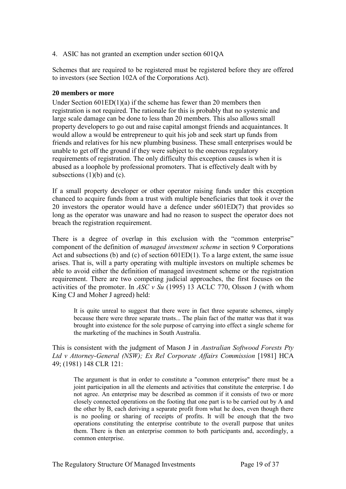4. ASIC has not granted an exemption under section 601QA

Schemes that are required to be registered must be registered before they are offered to investors (see Section 102A of the Corporations Act).

#### <span id="page-18-0"></span>**20 members or more**

Under Section 601ED(1)(a) if the scheme has fewer than 20 members then registration is not required. The rationale for this is probably that no systemic and large scale damage can be done to less than 20 members. This also allows small property developers to go out and raise capital amongst friends and acquaintances. It would allow a would be entrepreneur to quit his job and seek start up funds from friends and relatives for his new plumbing business. These small enterprises would be unable to get off the ground if they were subject to the onerous regulatory requirements of registration. The only difficulty this exception causes is when it is abused as a loophole by professional promoters. That is effectively dealt with by subsections  $(1)(b)$  and  $(c)$ .

If a small property developer or other operator raising funds under this exception chanced to acquire funds from a trust with multiple beneficiaries that took it over the 20 investors the operator would have a defence under s601ED(7) that provides so long as the operator was unaware and had no reason to suspect the operator does not breach the registration requirement.

There is a degree of overlap in this exclusion with the "common enterprise" component of the definition of *managed investment scheme* in section 9 Corporations Act and subsections (b) and (c) of section 601ED(1). To a large extent, the same issue arises. That is, will a party operating with multiple investors on multiple schemes be able to avoid either the definition of managed investment scheme or the registration requirement. There are two competing judicial approaches, the first focuses on the activities of the promoter. In *ASC v Su* (1995) 13 ACLC 770, Olsson J (with whom King CJ and Moher J agreed) held:

It is quite unreal to suggest that there were in fact three separate schemes, simply because there were three separate trusts... The plain fact of the matter was that it was brought into existence for the sole purpose of carrying into effect a single scheme for the marketing of the machines in South Australia.

This is consistent with the judgment of Mason J in *Australian Softwood Forests Pty Ltd v Attorney-General (NSW); Ex Rel Corporate Affairs Commission* [1981] HCA 49; (1981) 148 CLR 121:

The argument is that in order to constitute a "common enterprise" there must be a joint participation in all the elements and activities that constitute the enterprise. I do not agree. An enterprise may be described as common if it consists of two or more closely connected operations on the footing that one part is to be carried out by A and the other by B, each deriving a separate profit from what he does, even though there is no pooling or sharing of receipts of profits. It will be enough that the two operations constituting the enterprise contribute to the overall purpose that unites them. There is then an enterprise common to both participants and, accordingly, a common enterprise.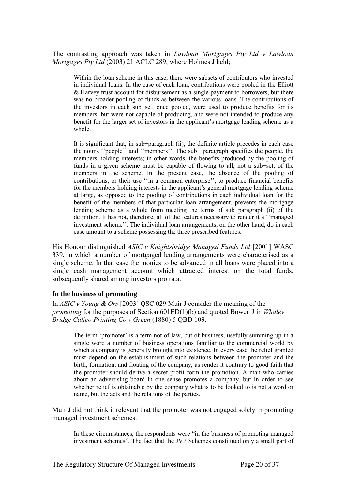The contrasting approach was taken in *Lawloan Mortgages Pty Ltd v Lawloan Mortgages Pty Ltd* (2003) 21 ACLC 289, where Holmes J held;

Within the loan scheme in this case, there were subsets of contributors who invested in individual loans. In the case of each loan, contributions were pooled in the Elliott & Harvey trust account for disbursement as a single payment to borrowers, but there was no broader pooling of funds as between the various loans. The contributions of the investors in each sub−set, once pooled, were used to produce benefits for its members, but were not capable of producing, and were not intended to produce any benefit for the larger set of investors in the applicant's mortgage lending scheme as a whole.

It is significant that, in sub−paragraph (ii), the definite article precedes in each case the nouns ''people'' and ''members''. The sub− paragraph specifies the people, the members holding interests; in other words, the benefits produced by the pooling of funds in a given scheme must be capable of flowing to all, not a sub−set, of the members in the scheme. In the present case, the absence of the pooling of contributions, or their use ''in a common enterprise'', to produce financial benefits for the members holding interests in the applicant's general mortgage lending scheme at large, as opposed to the pooling of contributions in each individual loan for the benefit of the members of that particular loan arrangement, prevents the mortgage lending scheme as a whole from meeting the terms of sub−paragraph (ii) of the definition. It has not, therefore, all of the features necessary to render it a ''managed investment scheme''. The individual loan arrangements, on the other hand, do in each case amount to a scheme possessing the three prescribed features.

His Honour distinguished *ASIC v Knightsbridge Managed Funds Ltd* [2001] WASC 339, in which a number of mortgaged lending arrangements were characterised as a single scheme. In that case the monies to be advanced in all loans were placed into a single cash management account which attracted interest on the total funds, subsequently shared among investors pro rata.

#### <span id="page-19-0"></span>**In the business of promoting**

In *ASIC v Young & Ors* [2003] QSC 029 Muir J consider the meaning of the *promoting* for the purposes of Section 601ED(1)(b) and quoted Bowen J in *Whaley Bridge Calico Printing Co v Green* (1880) 5 QBD 109:

The term 'promoter' is a term not of law, but of business, usefully summing up in a single word a number of business operations familiar to the commercial world by which a company is generally brought into existence. In every case the relief granted must depend on the establishment of such relations between the promoter and the birth, formation, and floating of the company, as render it contrary to good faith that the promoter should derive a secret profit form the promotion. A man who carries about an advertising board in one sense promotes a company, but in order to see whether relief is obtainable by the company what is to be looked to is not a word or name, but the acts and the relations of the parties.

Muir J did not think it relevant that the promoter was not engaged solely in promoting managed investment schemes:

In these circumstances, the respondents were "in the business of promoting managed investment schemes". The fact that the JVP Schemes constituted only a small part of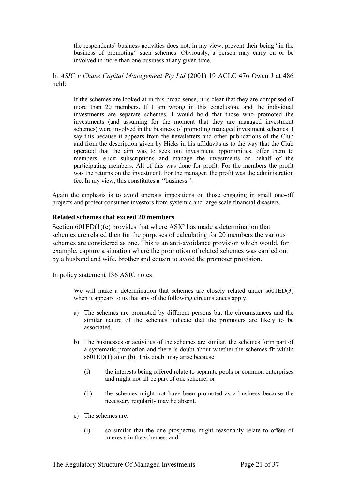the respondents' business activities does not, in my view, prevent their being "in the business of promoting" such schemes. Obviously, a person may carry on or be involved in more than one business at any given time.

In *ASIC v Chase Capital Management Pty Ltd* (2001) 19 ACLC 476 Owen J at 486 held:

If the schemes are looked at in this broad sense, it is clear that they are comprised of more than 20 members. If I am wrong in this conclusion, and the individual investments are separate schemes, I would hold that those who promoted the investments (and assuming for the moment that they are managed investment schemes) were involved in the business of promoting managed investment schemes. I say this because it appears from the newsletters and other publications of the Club and from the description given by Hicks in his affidavits as to the way that the Club operated that the aim was to seek out investment opportunities, offer them to members, elicit subscriptions and manage the investments on behalf of the participating members. All of this was done for profit. For the members the profit was the returns on the investment. For the manager, the profit was the administration fee. In my view, this constitutes a ''business''.

Again the emphasis is to avoid onerous impositions on those engaging in small one-off projects and protect consumer investors from systemic and large scale financial disasters.

#### <span id="page-20-0"></span>**Related schemes that exceed 20 members**

Section 601ED(1)(c) provides that where ASIC has made a determination that schemes are related then for the purposes of calculating for 20 members the various schemes are considered as one. This is an anti-avoidance provision which would, for example, capture a situation where the promotion of related schemes was carried out by a husband and wife, brother and cousin to avoid the promoter provision.

In policy statement 136 ASIC notes:

We will make a determination that schemes are closely related under  $s601ED(3)$ when it appears to us that any of the following circumstances apply.

- a) The schemes are promoted by different persons but the circumstances and the similar nature of the schemes indicate that the promoters are likely to be associated.
- b) The businesses or activities of the schemes are similar, the schemes form part of a systematic promotion and there is doubt about whether the schemes fit within  $s601ED(1)(a)$  or (b). This doubt may arise because:
	- (i) the interests being offered relate to separate pools or common enterprises and might not all be part of one scheme; or
	- (ii) the schemes might not have been promoted as a business because the necessary regularity may be absent.
- c) The schemes are:
	- (i) so similar that the one prospectus might reasonably relate to offers of interests in the schemes; and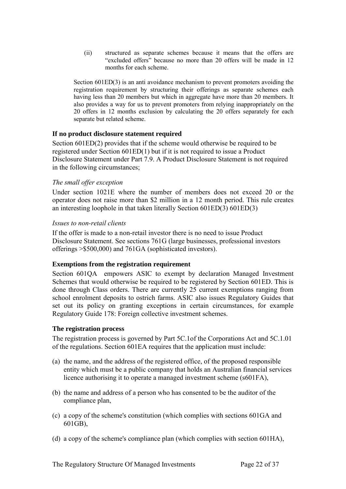(ii) structured as separate schemes because it means that the offers are "excluded offers" because no more than 20 offers will be made in 12 months for each scheme.

Section 601ED(3) is an anti avoidance mechanism to prevent promoters avoiding the registration requirement by structuring their offerings as separate schemes each having less than 20 members but which in aggregate have more than 20 members. It also provides a way for us to prevent promoters from relying inappropriately on the 20 offers in 12 months exclusion by calculating the 20 offers separately for each separate but related scheme.

#### <span id="page-21-0"></span>**If no product disclosure statement required**

Section 601ED(2) provides that if the scheme would otherwise be required to be registered under Section 601ED(1) but if it is not required to issue a Product Disclosure Statement under Part 7.9. A Product Disclosure Statement is not required in the following circumstances;

#### *The small offer exception*

Under section 1021E where the number of members does not exceed 20 or the operator does not raise more than \$2 million in a 12 month period. This rule creates an interesting loophole in that taken literally Section 601ED(3) 601ED(3)

#### *Issues to non-retail clients*

If the offer is made to a non-retail investor there is no need to issue Product Disclosure Statement. See sections 761G (large businesses, professional investors offerings >\$500,000) and 761GA (sophisticated investors).

## <span id="page-21-1"></span>**Exemptions from the registration requirement**

Section 601QA empowers ASIC to exempt by declaration Managed Investment Schemes that would otherwise be required to be registered by Section 601ED. This is done through Class orders. There are currently 25 current exemptions ranging from school enrolment deposits to ostrich farms. ASIC also issues Regulatory Guides that set out its policy on granting exceptions in certain circumstances, for example Regulatory Guide 178: Foreign collective investment schemes.

#### <span id="page-21-2"></span>**The registration process**

The registration process is governed by Part 5C.1of the Corporations Act and 5C.1.01 of the regulations. Section 601EA requires that the application must include:

- (a) the name, and the address of the registered office, of the proposed responsible entity which must be a public company that holds an Australian financial services licence authorising it to operate a managed investment scheme (s601FA),
- (b) the name and address of a person who has consented to be the auditor of the compliance plan,
- (c) a copy of the scheme's constitution (which complies with sections 601GA and 601GB),
- (d) a copy of the scheme's compliance plan (which complies with section 601HA),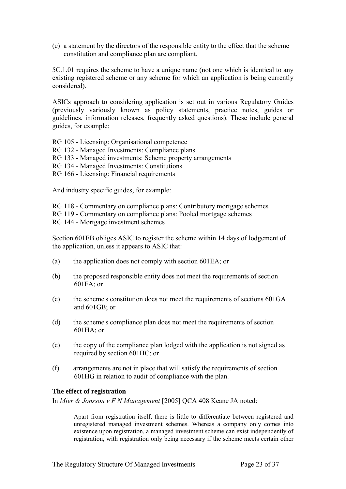(e) a statement by the directors of the responsible entity to the effect that the scheme constitution and compliance plan are compliant.

5C.1.01 requires the scheme to have a unique name (not one which is identical to any existing registered scheme or any scheme for which an application is being currently considered).

ASICs approach to considering application is set out in various Regulatory Guides (previously variously known as policy statements, practice notes, guides or guidelines, information releases, frequently asked questions). These include general guides, for example:

RG 105 - Licensing: Organisational competence

- RG 132 Managed Investments: Compliance plans
- RG 133 Managed investments: Scheme property arrangements
- RG 134 Managed Investments: Constitutions
- RG 166 Licensing: Financial requirements

And industry specific guides, for example:

RG 118 - Commentary on compliance plans: Contributory mortgage schemes

RG 119 - Commentary on compliance plans: Pooled mortgage schemes

RG 144 - Mortgage investment schemes

Section 601EB obliges ASIC to register the scheme within 14 days of lodgement of the application, unless it appears to ASIC that:

- (a) the application does not comply with section 601EA; or
- (b) the proposed responsible entity does not meet the requirements of section 601FA; or
- (c) the scheme's constitution does not meet the requirements of sections 601GA and 601GB; or
- (d) the scheme's compliance plan does not meet the requirements of section 601HA; or
- (e) the copy of the compliance plan lodged with the application is not signed as required by section 601HC; or
- (f) arrangements are not in place that will satisfy the requirements of section 601HG in relation to audit of compliance with the plan.

#### <span id="page-22-0"></span>**The effect of registration**

In *Mier & Jonsson v F N Management* [2005] QCA 408 Keane JA noted:

Apart from registration itself, there is little to differentiate between registered and unregistered managed investment schemes. Whereas a company only comes into existence upon registration, a managed investment scheme can exist independently of registration, with registration only being necessary if the scheme meets certain other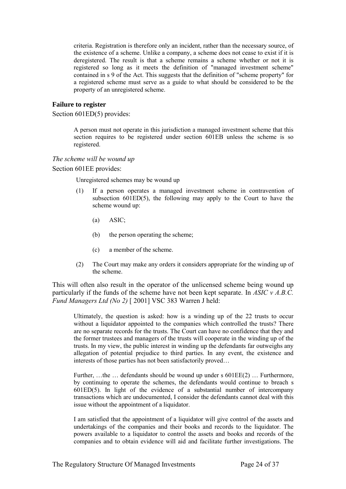criteria. Registration is therefore only an incident, rather than the necessary source, of the existence of a scheme. Unlike a company, a scheme does not cease to exist if it is deregistered. The result is that a scheme remains a scheme whether or not it is registered so long as it meets the definition of "managed investment scheme" contained in s 9 of the Act. This suggests that the definition of "scheme property" for a registered scheme must serve as a guide to what should be considered to be the property of an unregistered scheme.

#### <span id="page-23-0"></span>**Failure to register**

Section 601ED(5) provides:

A person must not operate in this jurisdiction a managed investment scheme that this section requires to be registered under section 601EB unless the scheme is so registered.

#### *The scheme will be wound up*

Section 601EE provides:

Unregistered schemes may be wound up

- (1) If a person operates a managed investment scheme in contravention of subsection 601ED(5), the following may apply to the Court to have the scheme wound up:
	- (a) ASIC;
	- (b) the person operating the scheme;
	- (c) a member of the scheme.
- (2) The Court may make any orders it considers appropriate for the winding up of the scheme.

This will often also result in the operator of the unlicensed scheme being wound up particularly if the funds of the scheme have not been kept separate. In *ASIC v A.B.C. Fund Managers Ltd (No 2)* [ 2001] VSC 383 Warren J held:

Ultimately, the question is asked: how is a winding up of the 22 trusts to occur without a liquidator appointed to the companies which controlled the trusts? There are no separate records for the trusts. The Court can have no confidence that they and the former trustees and managers of the trusts will cooperate in the winding up of the trusts. In my view, the public interest in winding up the defendants far outweighs any allegation of potential prejudice to third parties. In any event, the existence and interests of those parties has not been satisfactorily proved…

Further, …the … defendants should be wound up under s 601EE(2) … Furthermore, by continuing to operate the schemes, the defendants would continue to breach s 601ED(5). In light of the evidence of a substantial number of intercompany transactions which are undocumented, I consider the defendants cannot deal with this issue without the appointment of a liquidator.

I am satisfied that the appointment of a liquidator will give control of the assets and undertakings of the companies and their books and records to the liquidator. The powers available to a liquidator to control the assets and books and records of the companies and to obtain evidence will aid and facilitate further investigations. The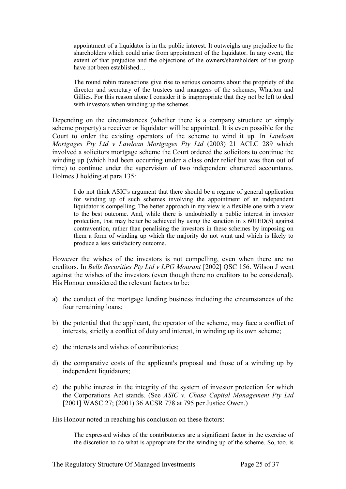appointment of a liquidator is in the public interest. It outweighs any prejudice to the shareholders which could arise from appointment of the liquidator. In any event, the extent of that prejudice and the objections of the owners/shareholders of the group have not been established…

The round robin transactions give rise to serious concerns about the propriety of the director and secretary of the trustees and managers of the schemes, Wharton and Gillies. For this reason alone I consider it is inappropriate that they not be left to deal with investors when winding up the schemes.

Depending on the circumstances (whether there is a company structure or simply scheme property) a receiver or liquidator will be appointed. It is even possible for the Court to order the existing operators of the scheme to wind it up. In *Lawloan Mortgages Pty Ltd v Lawloan Mortgages Pty Ltd* (2003) 21 ACLC 289 which involved a solicitors mortgage scheme the Court ordered the solicitors to continue the winding up (which had been occurring under a class order relief but was then out of time) to continue under the supervision of two independent chartered accountants. Holmes J holding at para 135:

I do not think ASIC's argument that there should be a regime of general application for winding up of such schemes involving the appointment of an independent liquidator is compelling. The better approach in my view is a flexible one with a view to the best outcome. And, while there is undoubtedly a public interest in investor protection, that may better be achieved by using the sanction in s 601ED(5) against contravention, rather than penalising the investors in these schemes by imposing on them a form of winding up which the majority do not want and which is likely to produce a less satisfactory outcome.

However the wishes of the investors is not compelling, even when there are no creditors. In *Bells Securities Pty Ltd v LPG Mourant* [2002] QSC 156. Wilson J went against the wishes of the investors (even though there no creditors to be considered). His Honour considered the relevant factors to be:

- a) the conduct of the mortgage lending business including the circumstances of the four remaining loans;
- b) the potential that the applicant, the operator of the scheme, may face a conflict of interests, strictly a conflict of duty and interest, in winding up its own scheme;
- c) the interests and wishes of contributories;
- d) the comparative costs of the applicant's proposal and those of a winding up by independent liquidators;
- e) the public interest in the integrity of the system of investor protection for which the Corporations Act stands. (See *ASIC v. Chase Capital Management Pty Ltd* [2001] WASC 27; (2001) 36 ACSR 778 at 795 per Justice Owen.)

His Honour noted in reaching his conclusion on these factors:

The expressed wishes of the contributories are a significant factor in the exercise of the discretion to do what is appropriate for the winding up of the scheme. So, too, is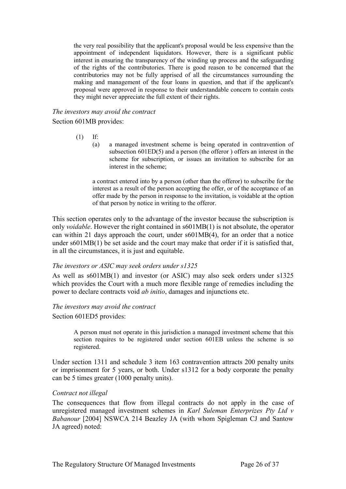the very real possibility that the applicant's proposal would be less expensive than the appointment of independent liquidators. However, there is a significant public interest in ensuring the transparency of the winding up process and the safeguarding of the rights of the contributories. There is good reason to be concerned that the contributories may not be fully apprised of all the circumstances surrounding the making and management of the four loans in question, and that if the applicant's proposal were approved in response to their understandable concern to contain costs they might never appreciate the full extent of their rights.

#### *The investors may avoid the contract*

Section 601MB provides:

- (1) If:
	- (a) a managed investment scheme is being operated in contravention of subsection 601ED(5) and a person (the offeror ) offers an interest in the scheme for subscription, or issues an invitation to subscribe for an interest in the scheme;

a contract entered into by a person (other than the offeror) to subscribe for the interest as a result of the person accepting the offer, or of the acceptance of an offer made by the person in response to the invitation, is voidable at the option of that person by notice in writing to the offeror.

This section operates only to the advantage of the investor because the subscription is only *voidable*. However the right contained in s601MB(1) is not absolute, the operator can within 21 days approach the court, under s601MB(4), for an order that a notice under  $s601MB(1)$  be set aside and the court may make that order if it is satisfied that, in all the circumstances, it is just and equitable.

#### *The investors or ASIC may seek orders under s1325*

As well as s601MB(1) and investor (or ASIC) may also seek orders under s1325 which provides the Court with a much more flexible range of remedies including the power to declare contracts void *ab initio*, damages and injunctions etc.

#### *The investors may avoid the contract*

Section 601ED5 provides:

A person must not operate in this jurisdiction a managed investment scheme that this section requires to be registered under section 601EB unless the scheme is so registered.

Under section 1311 and schedule 3 item 163 contravention attracts 200 penalty units or imprisonment for 5 years, or both. Under s1312 for a body corporate the penalty can be 5 times greater (1000 penalty units).

#### *Contract not illegal*

The consequences that flow from illegal contracts do not apply in the case of unregistered managed investment schemes in *Karl Suleman Enterprizes Pty Ltd v Babanour* [2004] NSWCA 214 Beazley JA (with whom Spigleman CJ and Santow JA agreed) noted: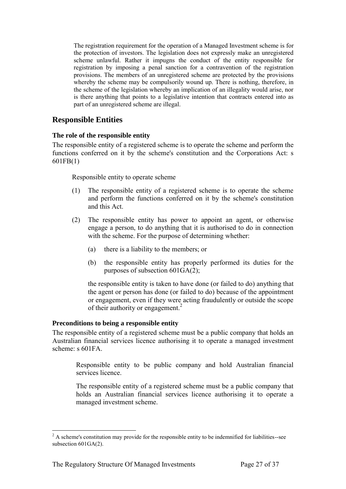The registration requirement for the operation of a Managed Investment scheme is for the protection of investors. The legislation does not expressly make an unregistered scheme unlawful. Rather it impugns the conduct of the entity responsible for registration by imposing a penal sanction for a contravention of the registration provisions. The members of an unregistered scheme are protected by the provisions whereby the scheme may be compulsorily wound up. There is nothing, therefore, in the scheme of the legislation whereby an implication of an illegality would arise, nor is there anything that points to a legislative intention that contracts entered into as part of an unregistered scheme are illegal.

# <span id="page-26-0"></span>**Responsible Entities**

#### <span id="page-26-1"></span>**The role of the responsible entity**

The responsible entity of a registered scheme is to operate the scheme and perform the functions conferred on it by the scheme's constitution and the Corporations Act: s 601FB(1)

Responsible entity to operate scheme

- (1) The responsible entity of a registered scheme is to operate the scheme and perform the functions conferred on it by the scheme's constitution and this Act.
- (2) The responsible entity has power to appoint an agent, or otherwise engage a person, to do anything that it is authorised to do in connection with the scheme. For the purpose of determining whether:
	- (a) there is a liability to the members; or
	- (b) the responsible entity has properly performed its duties for the purposes of subsection 601GA(2);

the responsible entity is taken to have done (or failed to do) anything that the agent or person has done (or failed to do) because of the appointment or engagement, even if they were acting fraudulently or outside the scope of their authority or engagement.<sup>2</sup>

## <span id="page-26-2"></span>**Preconditions to being a responsible entity**

The responsible entity of a registered scheme must be a public company that holds an Australian financial services licence authorising it to operate a managed investment scheme: s 601FA.

Responsible entity to be public company and hold Australian financial services licence.

The responsible entity of a registered scheme must be a public company that holds an Australian financial services licence authorising it to operate a managed investment scheme.

<sup>-</sup> $2A$  scheme's constitution may provide for the responsible entity to be indemnified for liabilities-see subsection 601GA(2).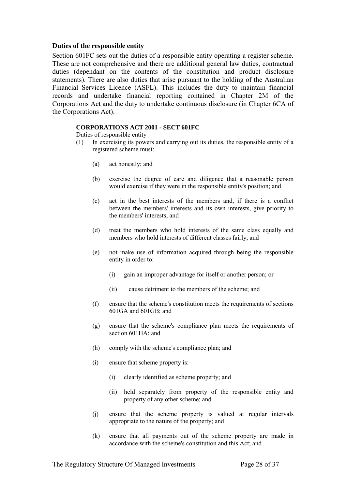#### <span id="page-27-0"></span>**Duties of the responsible entity**

Section 601FC sets out the duties of a responsible entity operating a register scheme. These are not comprehensive and there are additional general law duties, contractual duties (dependant on the contents of the constitution and product disclosure statements). There are also duties that arise pursuant to the holding of the Australian Financial Services Licence (ASFL). This includes the duty to maintain financial records and undertake financial reporting contained in Chapter 2M of the Corporations Act and the duty to undertake continuous disclosure (in Chapter 6CA of the Corporations Act).

#### **CORPORATIONS ACT 2001 - SECT 601FC**

Duties of responsible entity

- (1) In exercising its powers and carrying out its duties, the responsible entity of a registered scheme must:
	- (a) act honestly; and
	- (b) exercise the degree of care and diligence that a reasonable person would exercise if they were in the responsible entity's position; and
	- (c) act in the best interests of the members and, if there is a conflict between the members' interests and its own interests, give priority to the members' interests; and
	- (d) treat the members who hold interests of the same class equally and members who hold interests of different classes fairly; and
	- (e) not make use of information acquired through being the responsible entity in order to:
		- (i) gain an improper advantage for itself or another person; or
		- (ii) cause detriment to the members of the scheme; and
	- (f) ensure that the scheme's constitution meets the requirements of sections 601GA and 601GB; and
	- (g) ensure that the scheme's compliance plan meets the requirements of section 601HA; and
	- (h) comply with the scheme's compliance plan; and
	- (i) ensure that scheme property is:
		- (i) clearly identified as scheme property; and
		- (ii) held separately from property of the responsible entity and property of any other scheme; and
	- (j) ensure that the scheme property is valued at regular intervals appropriate to the nature of the property; and
	- (k) ensure that all payments out of the scheme property are made in accordance with the scheme's constitution and this Act; and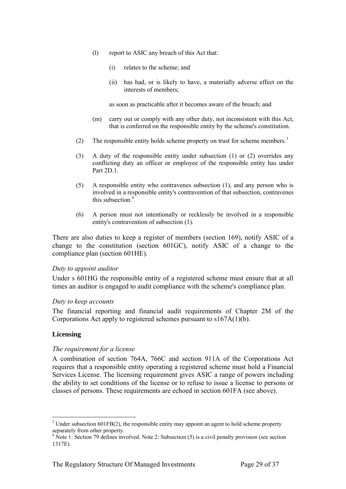- (l) report to ASIC any breach of this Act that:
	- (i) relates to the scheme; and
	- (ii) has had, or is likely to have, a materially adverse effect on the interests of members;

as soon as practicable after it becomes aware of the breach; and

- (m) carry out or comply with any other duty, not inconsistent with this Act, that is conferred on the responsible entity by the scheme's constitution.
- (2) The responsible entity holds scheme property on trust for scheme members.<sup>3</sup>
- (3) A duty of the responsible entity under subsection (1) or (2) overrides any conflicting duty an officer or employee of the responsible entity has under Part 2D.1.
- (5) A responsible entity who contravenes subsection (1), and any person who is involved in a responsible entity's contravention of that subsection, contravenes this subsection.<sup>4</sup>
- (6) A person must not intentionally or recklessly be involved in a responsible entity's contravention of subsection (1).

There are also duties to keep a register of members (section 169), notify ASIC of a change to the constitution (section 601GC), notify ASIC of a change to the compliance plan (section 601HE).

#### *Duty to appoint auditor*

Under s 601HG the responsible entity of a registered scheme must ensure that at all times an auditor is engaged to audit compliance with the scheme's compliance plan.

#### *Duty to keep accounts*

The financial reporting and financial audit requirements of Chapter 2M of the Corporations Act apply to registered schemes pursuant to s167A(1)(b).

#### <span id="page-28-0"></span>**Licensing**

-

#### *The requirement for a license*

A combination of section 764A, 766C and section 911A of the Corporations Act requires that a responsible entity operating a registered scheme must hold a Financial Services License. The licensing requirement gives ASIC a range of powers including the ability to set conditions of the license or to refuse to issue a license to persons or classes of persons. These requirements are echoed in section 601FA (see above).

 $3$  Under subsection 601FB(2), the responsible entity may appoint an agent to hold scheme property separately from other property.

<sup>&</sup>lt;sup>4</sup> Note 1: Section 79 defines involved. Note 2: Subsection (5) is a civil penalty provision (see section 1317E).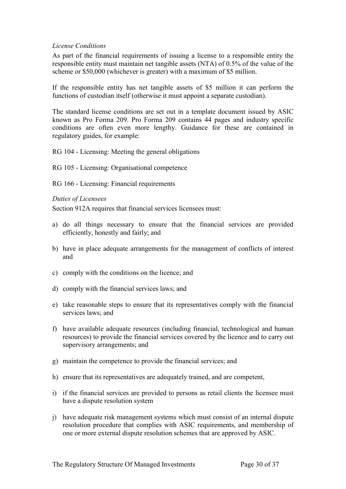#### *License Conditions*

As part of the financial requirements of issuing a license to a responsible entity the responsible entity must maintain net tangible assets (NTA) of 0.5% of the value of the scheme or \$50,000 (whichever is greater) with a maximum of \$5 million.

If the responsible entity has net tangible assets of \$5 million it can perform the functions of custodian itself (otherwise it must appoint a separate custodian).

The standard license conditions are set out in a template document issued by ASIC known as Pro Forma 209. Pro Forma 209 contains 44 pages and industry specific conditions are often even more lengthy. Guidance for these are contained in regulatory guides, for example:

RG 104 - Licensing: Meeting the general obligations

RG 105 - Licensing: Organisational competence

RG 166 - Licensing: Financial requirements

#### *Duties of Licensees*

Section 912A requires that financial services licensees must:

- a) do all things necessary to ensure that the financial services are provided efficiently, honestly and fairly; and
- b) have in place adequate arrangements for the management of conflicts of interest and
- c) comply with the conditions on the licence; and
- d) comply with the financial services laws; and
- e) take reasonable steps to ensure that its representatives comply with the financial services laws; and
- f) have available adequate resources (including financial, technological and human resources) to provide the financial services covered by the licence and to carry out supervisory arrangements; and
- g) maintain the competence to provide the financial services; and
- h) ensure that its representatives are adequately trained, and are competent,
- i) if the financial services are provided to persons as retail clients the licensee must have a dispute resolution system
- j) have adequate risk management systems which must consist of an internal dispute resolution procedure that complies with ASIC requirements, and membership of one or more external dispute resolution schemes that are approved by ASIC.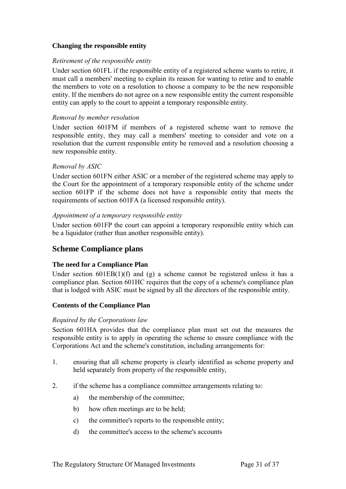## <span id="page-30-0"></span>**Changing the responsible entity**

#### *Retirement of the responsible entity*

Under section 601FL if the responsible entity of a registered scheme wants to retire, it must call a members' meeting to explain its reason for wanting to retire and to enable the members to vote on a resolution to choose a company to be the new responsible entity. If the members do not agree on a new responsible entity the current responsible entity can apply to the court to appoint a temporary responsible entity.

#### *Removal by member resolution*

Under section 601FM if members of a registered scheme want to remove the responsible entity, they may call a members' meeting to consider and vote on a resolution that the current responsible entity be removed and a resolution choosing a new responsible entity.

#### *Removal by ASIC*

Under section 601FN either ASIC or a member of the registered scheme may apply to the Court for the appointment of a temporary responsible entity of the scheme under section 601FP if the scheme does not have a responsible entity that meets the requirements of section 601FA (a licensed responsible entity).

#### *Appointment of a temporary responsible entity*

Under section 601FP the court can appoint a temporary responsible entity which can be a liquidator (rather than another responsible entity).

# <span id="page-30-1"></span>**Scheme Compliance plans**

## <span id="page-30-2"></span>**The need for a Compliance Plan**

Under section  $601EB(1)(f)$  and  $(g)$  a scheme cannot be registered unless it has a compliance plan. Section 601HC requires that the copy of a scheme's compliance plan that is lodged with ASIC must be signed by all the directors of the responsible entity.

## <span id="page-30-3"></span>**Contents of the Compliance Plan**

#### *Required by the Corporations law*

Section 601HA provides that the compliance plan must set out the measures the responsible entity is to apply in operating the scheme to ensure compliance with the Corporations Act and the scheme's constitution, including arrangements for:

- 1. ensuring that all scheme property is clearly identified as scheme property and held separately from property of the responsible entity,
- 2. if the scheme has a compliance committee arrangements relating to:
	- a) the membership of the committee;
	- b) how often meetings are to be held;
	- c) the committee's reports to the responsible entity;
	- d) the committee's access to the scheme's accounts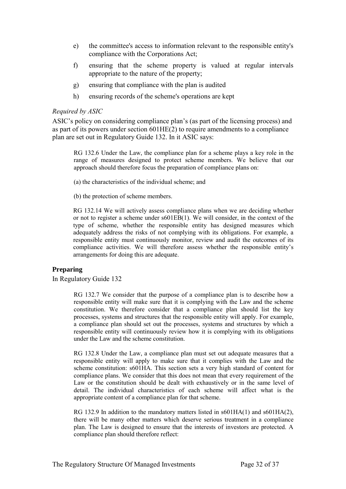- e) the committee's access to information relevant to the responsible entity's compliance with the Corporations Act;
- f) ensuring that the scheme property is valued at regular intervals appropriate to the nature of the property;
- g) ensuring that compliance with the plan is audited
- h) ensuring records of the scheme's operations are kept

#### *Required by ASIC*

ASIC's policy on considering compliance plan's (as part of the licensing process) and as part of its powers under section 601HE(2) to require amendments to a compliance plan are set out in Regulatory Guide 132. In it ASIC says:

RG 132.6 Under the Law, the compliance plan for a scheme plays a key role in the range of measures designed to protect scheme members. We believe that our approach should therefore focus the preparation of compliance plans on:

- (a) the characteristics of the individual scheme; and
- (b) the protection of scheme members.

RG 132.14 We will actively assess compliance plans when we are deciding whether or not to register a scheme under s601EB(1). We will consider, in the context of the type of scheme, whether the responsible entity has designed measures which adequately address the risks of not complying with its obligations. For example, a responsible entity must continuously monitor, review and audit the outcomes of its compliance activities. We will therefore assess whether the responsible entity's arrangements for doing this are adequate.

#### <span id="page-31-0"></span>**Preparing**

In Regulatory Guide 132

RG 132.7 We consider that the purpose of a compliance plan is to describe how a responsible entity will make sure that it is complying with the Law and the scheme constitution. We therefore consider that a compliance plan should list the key processes, systems and structures that the responsible entity will apply. For example, a compliance plan should set out the processes, systems and structures by which a responsible entity will continuously review how it is complying with its obligations under the Law and the scheme constitution.

RG 132.8 Under the Law, a compliance plan must set out adequate measures that a responsible entity will apply to make sure that it complies with the Law and the scheme constitution: s601HA. This section sets a very high standard of content for compliance plans. We consider that this does not mean that every requirement of the Law or the constitution should be dealt with exhaustively or in the same level of detail. The individual characteristics of each scheme will affect what is the appropriate content of a compliance plan for that scheme.

RG 132.9 In addition to the mandatory matters listed in  $\text{601HA}(1)$  and  $\text{601HA}(2)$ , there will be many other matters which deserve serious treatment in a compliance plan. The Law is designed to ensure that the interests of investors are protected. A compliance plan should therefore reflect: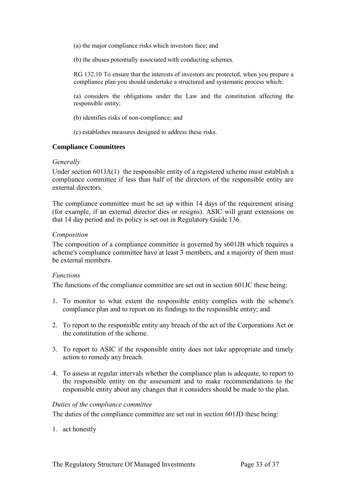(a) the major compliance risks which investors face; and

(b) the abuses potentially associated with conducting schemes.

RG 132.10 To ensure that the interests of investors are protected, when you prepare a compliance plan you should undertake a structured and systematic process which:

(a) considers the obligations under the Law and the constitution affecting the responsible entity;

(b) identifies risks of non-compliance; and

(c) establishes measures designed to address these risks.

#### <span id="page-32-0"></span>**Compliance Committees**

#### *Generally*

Under section 601JA(1) the responsible entity of a registered scheme must establish a compliance committee if less than half of the directors of the responsible entity are external directors.

The compliance committee must be set up within 14 days of the requirement arising (for example, if an external director dies or resigns). ASIC will grant extensions on that 14 day period and its policy is set out in Regulatory Guide 136.

#### *Composition*

The composition of a compliance committee is governed by s601JB which requires a scheme's compliance committee have at least 3 members, and a majority of them must be external members.

#### *Functions*

The functions of the compliance committee are set out in section 601JC these being:

- 1. To monitor to what extent the responsible entity complies with the scheme's compliance plan and to report on its findings to the responsible entity; and
- 2. To report to the responsible entity any breach of the act of the Corporations Act or the constitution of the scheme.
- 3. To report to ASIC if the responsible entity does not take appropriate and timely action to remedy any breach.
- 4. To assess at regular intervals whether the compliance plan is adequate, to report to the responsible entity on the assessment and to make recommendations to the responsible entity about any changes that it considers should be made to the plan.

#### *Duties of the compliance committee*

The duties of the compliance committee are set out in section 601JD these being:

1. act honestly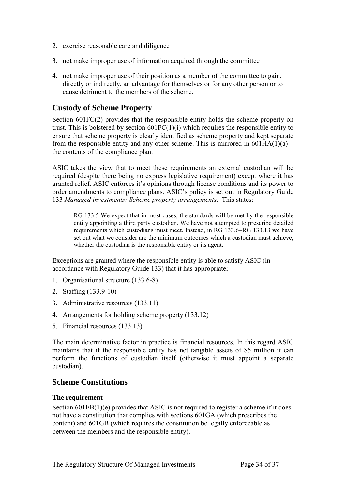- 2. exercise reasonable care and diligence
- 3. not make improper use of information acquired through the committee
- 4. not make improper use of their position as a member of the committee to gain, directly or indirectly, an advantage for themselves or for any other person or to cause detriment to the members of the scheme.

# <span id="page-33-0"></span>**Custody of Scheme Property**

Section 601FC(2) provides that the responsible entity holds the scheme property on trust. This is bolstered by section  $601FC(1)(i)$  which requires the responsible entity to ensure that scheme property is clearly identified as scheme property and kept separate from the responsible entity and any other scheme. This is mirrored in  $601HA(1)(a)$  – the contents of the compliance plan.

ASIC takes the view that to meet these requirements an external custodian will be required (despite there being no express legislative requirement) except where it has granted relief. ASIC enforces it's opinions through license conditions and its power to order amendments to compliance plans. ASIC's policy is set out in Regulatory Guide 133 *Managed investments: Scheme property arrangements.* This states:

RG 133.5 We expect that in most cases, the standards will be met by the responsible entity appointing a third party custodian. We have not attempted to prescribe detailed requirements which custodians must meet. Instead, in RG 133.6–RG 133.13 we have set out what we consider are the minimum outcomes which a custodian must achieve, whether the custodian is the responsible entity or its agent.

Exceptions are granted where the responsible entity is able to satisfy ASIC (in accordance with Regulatory Guide 133) that it has appropriate;

- 1. Organisational structure (133.6-8)
- 2. Staffing (133.9-10)
- 3. Administrative resources (133.11)
- 4. Arrangements for holding scheme property (133.12)
- 5. Financial resources (133.13)

The main determinative factor in practice is financial resources. In this regard ASIC maintains that if the responsible entity has net tangible assets of \$5 million it can perform the functions of custodian itself (otherwise it must appoint a separate custodian).

# <span id="page-33-1"></span>**Scheme Constitutions**

#### <span id="page-33-2"></span>**The requirement**

Section  $601EB(1)(e)$  provides that ASIC is not required to register a scheme if it does not have a constitution that complies with sections 601GA (which prescribes the content) and 601GB (which requires the constitution be legally enforceable as between the members and the responsible entity).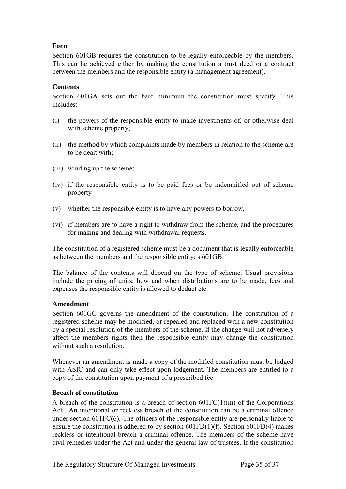# <span id="page-34-0"></span>**Form**

Section 601GB requires the constitution to be legally enforceable by the members. This can be achieved either by making the constitution a trust deed or a contract between the members and the responsible entity (a management agreement).

### <span id="page-34-1"></span>**Contents**

Section 601GA sets out the bare minimum the constitution must specify. This includes:

- (i) the powers of the responsible entity to make investments of, or otherwise deal with scheme property;
- (ii) the method by which complaints made by members in relation to the scheme are to be dealt with;
- (iii) winding up the scheme;
- (iv) if the responsible entity is to be paid fees or be indemnified out of scheme property
- (v) whether the responsible entity is to have any powers to borrow,
- (vi) if members are to have a right to withdraw from the scheme, and the procedures for making and dealing with withdrawal requests.

The constitution of a registered scheme must be a document that is legally enforceable as between the members and the responsible entity: s 601GB.

The balance of the contents will depend on the type of scheme. Usual provisions include the pricing of units, how and when distributions are to be made, fees and expenses the responsible entity is allowed to deduct etc.

#### <span id="page-34-2"></span>**Amendment**

Section 601GC governs the amendment of the constitution. The constitution of a registered scheme may be modified, or repealed and replaced with a new constitution by a special resolution of the members of the scheme. If the change will not adversely affect the members rights then the responsible entity may change the constitution without such a resolution.

Whenever an amendment is made a copy of the modified constitution must be lodged with ASIC and can only take effect upon lodgement. The members are entitled to a copy of the constitution upon payment of a prescribed fee.

#### <span id="page-34-3"></span>**Breach of constitution**

A breach of the constitution is a breach of section  $601FC(1)(m)$  of the Corporations Act. An intentional or reckless breach of the constitution can be a criminal offence under section 601FC(6). The officers of the responsible entity are personally liable to ensure the constitution is adhered to by section 601FD(1)(f). Section 601FD(4) makes reckless or intentional breach a criminal offence. The members of the scheme have civil remedies under the Act and under the general law of trustees. If the constitution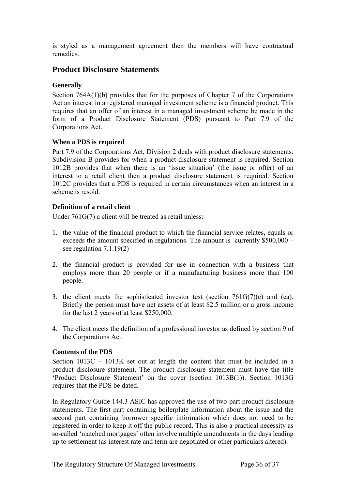is styled as a management agreement then the members will have contractual remedies.

# <span id="page-35-0"></span>**Product Disclosure Statements**

# <span id="page-35-1"></span>**Generally**

Section 764A(1)(b) provides that for the purposes of Chapter 7 of the Corporations Act an interest in a registered managed investment scheme is a financial product. This requires that an offer of an interest in a managed investment scheme be made in the form of a Product Disclosure Statement (PDS) pursuant to Part 7.9 of the Corporations Act.

# <span id="page-35-2"></span>**When a PDS is required**

Part 7.9 of the Corporations Act, Division 2 deals with product disclosure statements. Subdivision B provides for when a product disclosure statement is required. Section 1012B provides that when there is an 'issue situation' (the issue or offer) of an interest to a retail client then a product disclosure statement is required. Section 1012C provides that a PDS is required in certain circumstances when an interest in a scheme is resold.

# <span id="page-35-3"></span>**Definition of a retail client**

Under 761G(7) a client will be treated as retail unless:

- 1. the value of the financial product to which the financial service relates, equals or exceeds the amount specified in regulations. The amount is currently \$500,000 – see regulation 7.1.19(2)
- 2. the financial product is provided for use in connection with a business that employs more than 20 people or if a manufacturing business more than 100 people.
- 3. the client meets the sophisticated investor test (section  $761G(7)(c)$  and (ca). Briefly the person must have net assets of at least \$2.5 million or a gross income for the last 2 years of at least \$250,000.
- 4. The client meets the definition of a professional investor as defined by section 9 of the Corporations Act.

## <span id="page-35-4"></span>**Contents of the PDS**

Section 1013C – 1013K set out at length the content that must be included in a product disclosure statement. The product disclosure statement must have the title 'Product Disclosure Statement' on the cover (section 1013B(1)). Section 1013G requires that the PDS be dated.

In Regulatory Guide 144.3 ASIC has approved the use of two-part product disclosure statements. The first part containing boilerplate information about the issue and the second part containing borrower specific information which does not need to be registered in order to keep it off the public record. This is also a practical necessity as so-called 'matched mortgages' often involve multiple amendments in the days leading up to settlement (as interest rate and term are negotiated or other particulars altered).